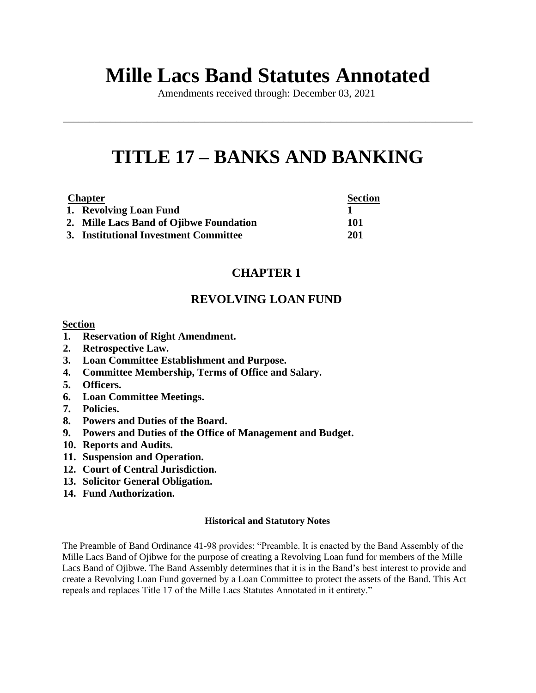# **Mille Lacs Band Statutes Annotated**

Amendments received through: December 03, 2021

\_\_\_\_\_\_\_\_\_\_\_\_\_\_\_\_\_\_\_\_\_\_\_\_\_\_\_\_\_\_\_\_\_\_\_\_\_\_\_\_\_\_\_\_\_\_\_\_\_\_\_\_\_\_\_\_\_\_\_\_\_\_\_\_\_\_\_\_\_\_\_\_\_\_\_\_\_\_

# **TITLE 17 – BANKS AND BANKING**

| <b>Chapter</b> |                                         | <b>Section</b> |
|----------------|-----------------------------------------|----------------|
|                | 1. Revolving Loan Fund                  |                |
|                | 2. Mille Lacs Band of Ojibwe Foundation | 101            |
|                | 3. Institutional Investment Committee   | 201            |

# **CHAPTER 1**

# **REVOLVING LOAN FUND**

# **Section**

- **1. Reservation of Right Amendment.**
- **2. Retrospective Law.**
- **3. Loan Committee Establishment and Purpose.**
- **4. Committee Membership, Terms of Office and Salary.**
- **5. Officers.**
- **6. Loan Committee Meetings.**
- **7. Policies.**
- **8. Powers and Duties of the Board.**
- **9. Powers and Duties of the Office of Management and Budget.**
- **10. Reports and Audits.**
- **11. Suspension and Operation.**
- **12. Court of Central Jurisdiction.**
- **13. Solicitor General Obligation.**
- **14. Fund Authorization.**

#### **Historical and Statutory Notes**

The Preamble of Band Ordinance 41-98 provides: "Preamble. It is enacted by the Band Assembly of the Mille Lacs Band of Ojibwe for the purpose of creating a Revolving Loan fund for members of the Mille Lacs Band of Ojibwe. The Band Assembly determines that it is in the Band's best interest to provide and create a Revolving Loan Fund governed by a Loan Committee to protect the assets of the Band. This Act repeals and replaces Title 17 of the Mille Lacs Statutes Annotated in it entirety."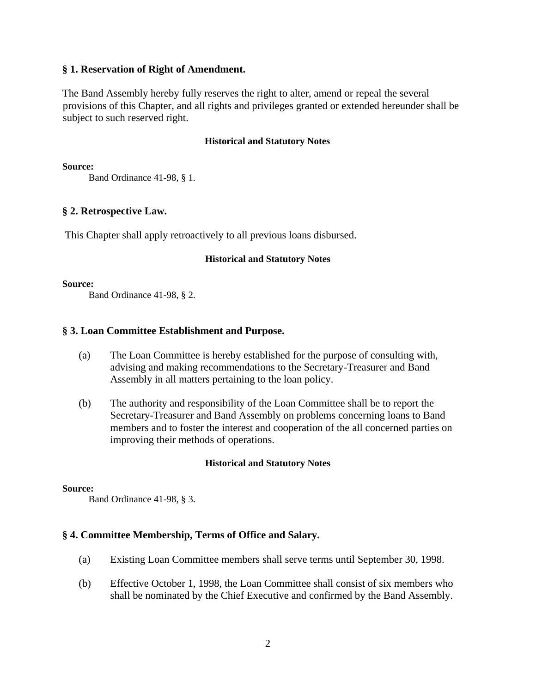# **§ 1. Reservation of Right of Amendment.**

The Band Assembly hereby fully reserves the right to alter, amend or repeal the several provisions of this Chapter, and all rights and privileges granted or extended hereunder shall be subject to such reserved right.

#### **Historical and Statutory Notes**

**Source:**

Band Ordinance 41-98, § 1.

# **§ 2. Retrospective Law.**

This Chapter shall apply retroactively to all previous loans disbursed.

#### **Historical and Statutory Notes**

**Source:**

Band Ordinance 41-98, § 2.

# **§ 3. Loan Committee Establishment and Purpose.**

- (a) The Loan Committee is hereby established for the purpose of consulting with, advising and making recommendations to the Secretary-Treasurer and Band Assembly in all matters pertaining to the loan policy.
- (b) The authority and responsibility of the Loan Committee shall be to report the Secretary-Treasurer and Band Assembly on problems concerning loans to Band members and to foster the interest and cooperation of the all concerned parties on improving their methods of operations.

#### **Historical and Statutory Notes**

#### **Source:**

Band Ordinance 41-98, § 3.

#### **§ 4. Committee Membership, Terms of Office and Salary.**

- (a) Existing Loan Committee members shall serve terms until September 30, 1998.
- (b) Effective October 1, 1998, the Loan Committee shall consist of six members who shall be nominated by the Chief Executive and confirmed by the Band Assembly.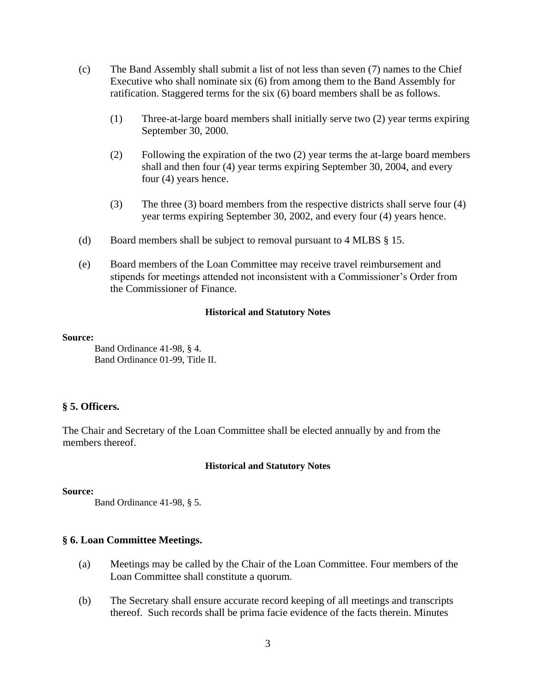- (c) The Band Assembly shall submit a list of not less than seven (7) names to the Chief Executive who shall nominate six (6) from among them to the Band Assembly for ratification. Staggered terms for the six (6) board members shall be as follows.
	- (1) Three-at-large board members shall initially serve two (2) year terms expiring September 30, 2000.
	- (2) Following the expiration of the two (2) year terms the at-large board members shall and then four (4) year terms expiring September 30, 2004, and every four (4) years hence.
	- (3) The three (3) board members from the respective districts shall serve four (4) year terms expiring September 30, 2002, and every four (4) years hence.
- (d) Board members shall be subject to removal pursuant to 4 MLBS § 15.
- (e) Board members of the Loan Committee may receive travel reimbursement and stipends for meetings attended not inconsistent with a Commissioner's Order from the Commissioner of Finance.

#### **Source:**

Band Ordinance 41-98, § 4. Band Ordinance 01-99, Title II.

# **§ 5. Officers.**

The Chair and Secretary of the Loan Committee shall be elected annually by and from the members thereof.

#### **Historical and Statutory Notes**

#### **Source:**

Band Ordinance 41-98, § 5.

# **§ 6. Loan Committee Meetings.**

- (a) Meetings may be called by the Chair of the Loan Committee. Four members of the Loan Committee shall constitute a quorum.
- (b) The Secretary shall ensure accurate record keeping of all meetings and transcripts thereof. Such records shall be prima facie evidence of the facts therein. Minutes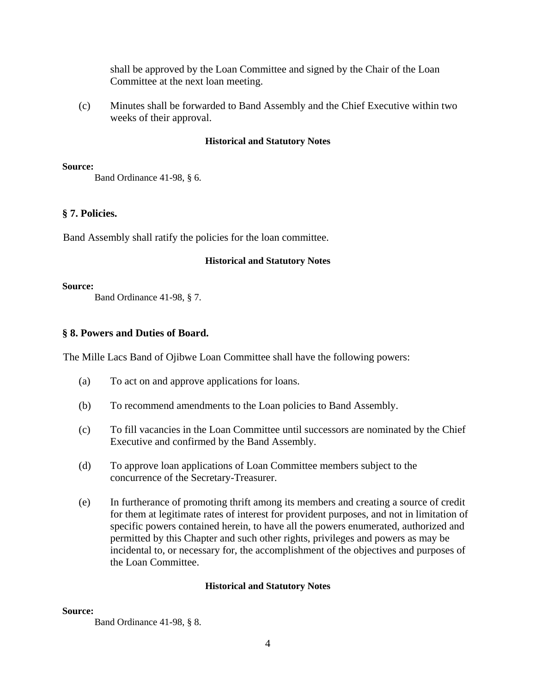shall be approved by the Loan Committee and signed by the Chair of the Loan Committee at the next loan meeting.

(c) Minutes shall be forwarded to Band Assembly and the Chief Executive within two weeks of their approval.

# **Historical and Statutory Notes**

**Source:**

Band Ordinance 41-98, § 6.

# **§ 7. Policies.**

Band Assembly shall ratify the policies for the loan committee.

#### **Historical and Statutory Notes**

**Source:**

Band Ordinance 41-98, § 7.

# **§ 8. Powers and Duties of Board.**

The Mille Lacs Band of Ojibwe Loan Committee shall have the following powers:

- (a) To act on and approve applications for loans.
- (b) To recommend amendments to the Loan policies to Band Assembly.
- (c) To fill vacancies in the Loan Committee until successors are nominated by the Chief Executive and confirmed by the Band Assembly.
- (d) To approve loan applications of Loan Committee members subject to the concurrence of the Secretary-Treasurer.
- (e) In furtherance of promoting thrift among its members and creating a source of credit for them at legitimate rates of interest for provident purposes, and not in limitation of specific powers contained herein, to have all the powers enumerated, authorized and permitted by this Chapter and such other rights, privileges and powers as may be incidental to, or necessary for, the accomplishment of the objectives and purposes of the Loan Committee.

#### **Historical and Statutory Notes**

#### **Source:**

Band Ordinance 41-98, § 8.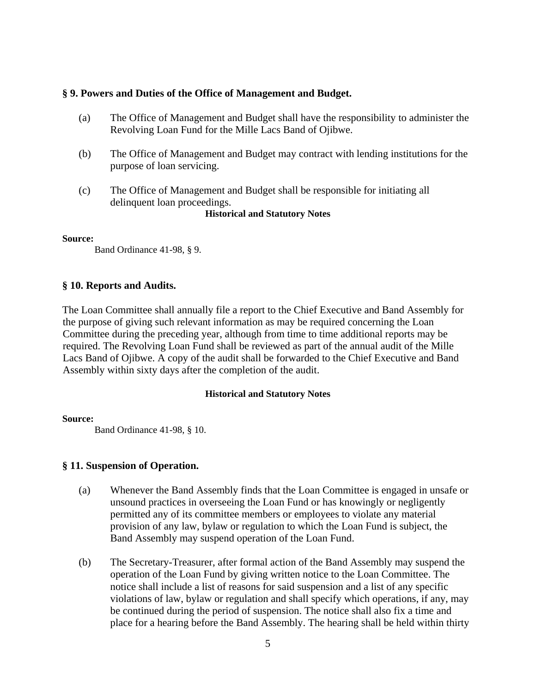# **§ 9. Powers and Duties of the Office of Management and Budget.**

- (a) The Office of Management and Budget shall have the responsibility to administer the Revolving Loan Fund for the Mille Lacs Band of Ojibwe.
- (b) The Office of Management and Budget may contract with lending institutions for the purpose of loan servicing.
- (c) The Office of Management and Budget shall be responsible for initiating all delinquent loan proceedings.

**Historical and Statutory Notes**

#### **Source:**

Band Ordinance 41-98, § 9.

# **§ 10. Reports and Audits.**

The Loan Committee shall annually file a report to the Chief Executive and Band Assembly for the purpose of giving such relevant information as may be required concerning the Loan Committee during the preceding year, although from time to time additional reports may be required. The Revolving Loan Fund shall be reviewed as part of the annual audit of the Mille Lacs Band of Ojibwe. A copy of the audit shall be forwarded to the Chief Executive and Band Assembly within sixty days after the completion of the audit.

#### **Historical and Statutory Notes**

#### **Source:**

Band Ordinance 41-98, § 10.

#### **§ 11. Suspension of Operation.**

- (a) Whenever the Band Assembly finds that the Loan Committee is engaged in unsafe or unsound practices in overseeing the Loan Fund or has knowingly or negligently permitted any of its committee members or employees to violate any material provision of any law, bylaw or regulation to which the Loan Fund is subject, the Band Assembly may suspend operation of the Loan Fund.
- (b) The Secretary-Treasurer, after formal action of the Band Assembly may suspend the operation of the Loan Fund by giving written notice to the Loan Committee. The notice shall include a list of reasons for said suspension and a list of any specific violations of law, bylaw or regulation and shall specify which operations, if any, may be continued during the period of suspension. The notice shall also fix a time and place for a hearing before the Band Assembly. The hearing shall be held within thirty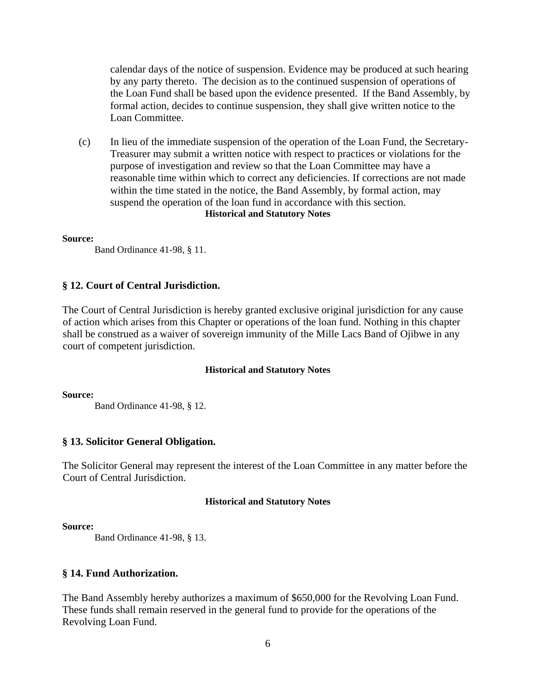calendar days of the notice of suspension. Evidence may be produced at such hearing by any party thereto. The decision as to the continued suspension of operations of the Loan Fund shall be based upon the evidence presented. If the Band Assembly, by formal action, decides to continue suspension, they shall give written notice to the Loan Committee.

(c) In lieu of the immediate suspension of the operation of the Loan Fund, the Secretary-Treasurer may submit a written notice with respect to practices or violations for the purpose of investigation and review so that the Loan Committee may have a reasonable time within which to correct any deficiencies. If corrections are not made within the time stated in the notice, the Band Assembly, by formal action, may suspend the operation of the loan fund in accordance with this section. **Historical and Statutory Notes**

#### **Source:**

Band Ordinance 41-98, § 11.

#### **§ 12. Court of Central Jurisdiction.**

The Court of Central Jurisdiction is hereby granted exclusive original jurisdiction for any cause of action which arises from this Chapter or operations of the loan fund. Nothing in this chapter shall be construed as a waiver of sovereign immunity of the Mille Lacs Band of Ojibwe in any court of competent jurisdiction.

#### **Historical and Statutory Notes**

**Source:**

Band Ordinance 41-98, § 12.

#### **§ 13. Solicitor General Obligation.**

The Solicitor General may represent the interest of the Loan Committee in any matter before the Court of Central Jurisdiction.

#### **Historical and Statutory Notes**

#### **Source:**

Band Ordinance 41-98, § 13.

#### **§ 14. Fund Authorization.**

The Band Assembly hereby authorizes a maximum of \$650,000 for the Revolving Loan Fund. These funds shall remain reserved in the general fund to provide for the operations of the Revolving Loan Fund.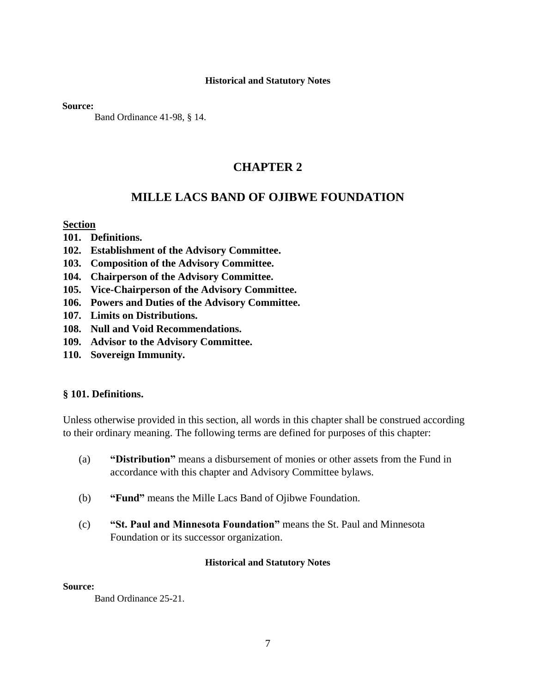**Source:**

Band Ordinance 41-98, § 14.

# **CHAPTER 2**

# **MILLE LACS BAND OF OJIBWE FOUNDATION**

# **Section**

- **101. Definitions.**
- **102. Establishment of the Advisory Committee.**
- **103. Composition of the Advisory Committee.**
- **104. Chairperson of the Advisory Committee.**
- **105. Vice-Chairperson of the Advisory Committee.**
- **106. Powers and Duties of the Advisory Committee.**
- **107. Limits on Distributions.**
- **108. Null and Void Recommendations.**
- **109. Advisor to the Advisory Committee.**
- **110. Sovereign Immunity.**

#### **§ 101. Definitions.**

Unless otherwise provided in this section, all words in this chapter shall be construed according to their ordinary meaning. The following terms are defined for purposes of this chapter:

- (a) **"Distribution"** means a disbursement of monies or other assets from the Fund in accordance with this chapter and Advisory Committee bylaws.
- (b) **"Fund"** means the Mille Lacs Band of Ojibwe Foundation.
- (c) **"St. Paul and Minnesota Foundation"** means the St. Paul and Minnesota Foundation or its successor organization.

#### **Historical and Statutory Notes**

#### **Source:**

Band Ordinance 25-21.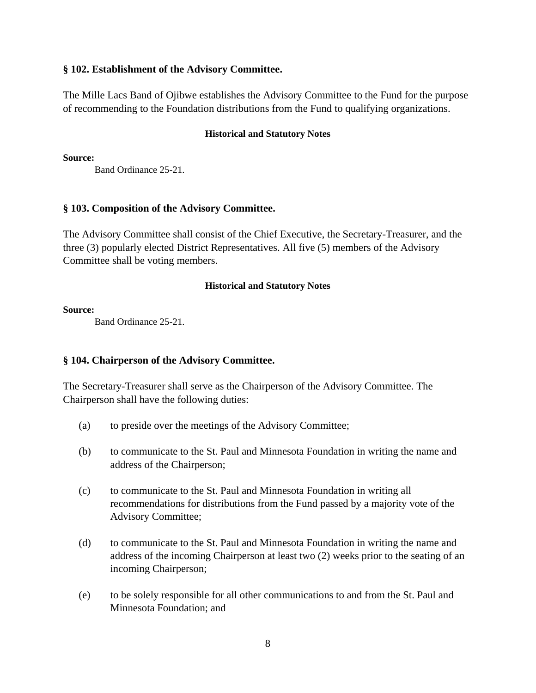# **§ 102. Establishment of the Advisory Committee.**

The Mille Lacs Band of Ojibwe establishes the Advisory Committee to the Fund for the purpose of recommending to the Foundation distributions from the Fund to qualifying organizations.

# **Historical and Statutory Notes**

**Source:**

Band Ordinance 25-21.

# **§ 103. Composition of the Advisory Committee.**

The Advisory Committee shall consist of the Chief Executive, the Secretary-Treasurer, and the three (3) popularly elected District Representatives. All five (5) members of the Advisory Committee shall be voting members.

# **Historical and Statutory Notes**

**Source:**

Band Ordinance 25-21.

# **§ 104. Chairperson of the Advisory Committee.**

The Secretary-Treasurer shall serve as the Chairperson of the Advisory Committee. The Chairperson shall have the following duties:

- (a) to preside over the meetings of the Advisory Committee;
- (b) to communicate to the St. Paul and Minnesota Foundation in writing the name and address of the Chairperson;
- (c) to communicate to the St. Paul and Minnesota Foundation in writing all recommendations for distributions from the Fund passed by a majority vote of the Advisory Committee;
- (d) to communicate to the St. Paul and Minnesota Foundation in writing the name and address of the incoming Chairperson at least two (2) weeks prior to the seating of an incoming Chairperson;
- (e) to be solely responsible for all other communications to and from the St. Paul and Minnesota Foundation; and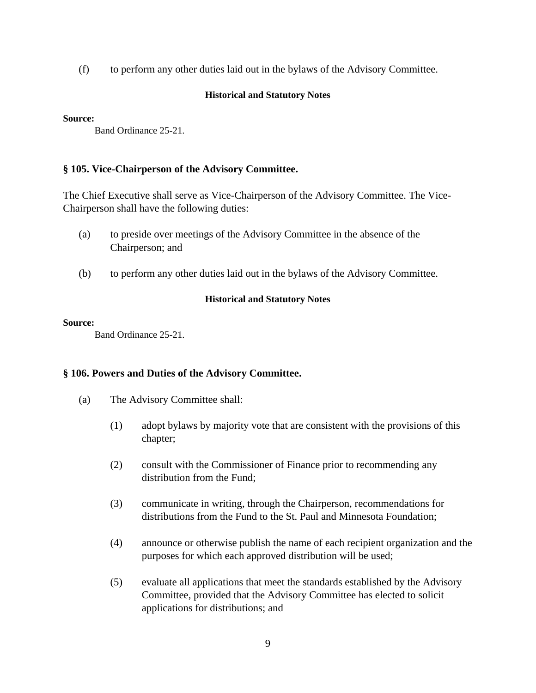(f) to perform any other duties laid out in the bylaws of the Advisory Committee.

# **Historical and Statutory Notes**

#### **Source:**

Band Ordinance 25-21.

# **§ 105. Vice-Chairperson of the Advisory Committee.**

The Chief Executive shall serve as Vice-Chairperson of the Advisory Committee. The Vice-Chairperson shall have the following duties:

- (a) to preside over meetings of the Advisory Committee in the absence of the Chairperson; and
- (b) to perform any other duties laid out in the bylaws of the Advisory Committee.

# **Historical and Statutory Notes**

# **Source:**

Band Ordinance 25-21.

# **§ 106. Powers and Duties of the Advisory Committee.**

- (a) The Advisory Committee shall:
	- (1) adopt bylaws by majority vote that are consistent with the provisions of this chapter;
	- (2) consult with the Commissioner of Finance prior to recommending any distribution from the Fund;
	- (3) communicate in writing, through the Chairperson, recommendations for distributions from the Fund to the St. Paul and Minnesota Foundation;
	- (4) announce or otherwise publish the name of each recipient organization and the purposes for which each approved distribution will be used;
	- (5) evaluate all applications that meet the standards established by the Advisory Committee, provided that the Advisory Committee has elected to solicit applications for distributions; and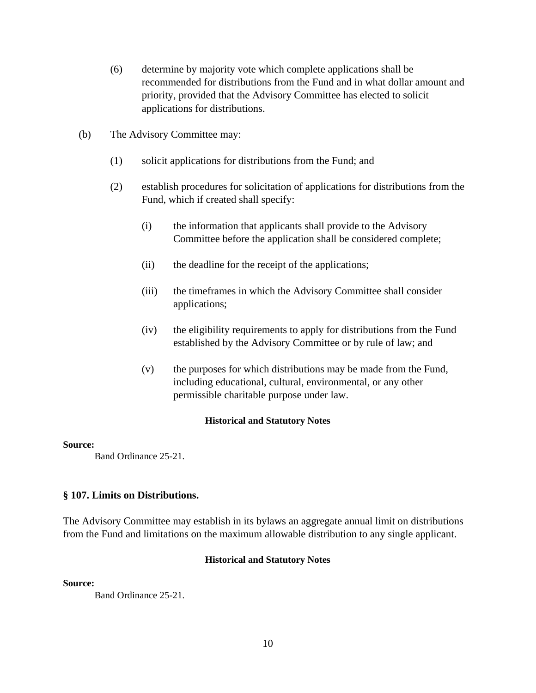- (6) determine by majority vote which complete applications shall be recommended for distributions from the Fund and in what dollar amount and priority, provided that the Advisory Committee has elected to solicit applications for distributions.
- (b) The Advisory Committee may:
	- (1) solicit applications for distributions from the Fund; and
	- (2) establish procedures for solicitation of applications for distributions from the Fund, which if created shall specify:
		- (i) the information that applicants shall provide to the Advisory Committee before the application shall be considered complete;
		- (ii) the deadline for the receipt of the applications;
		- (iii) the timeframes in which the Advisory Committee shall consider applications;
		- (iv) the eligibility requirements to apply for distributions from the Fund established by the Advisory Committee or by rule of law; and
		- (v) the purposes for which distributions may be made from the Fund, including educational, cultural, environmental, or any other permissible charitable purpose under law.

#### **Source:**

Band Ordinance 25-21.

#### **§ 107. Limits on Distributions.**

The Advisory Committee may establish in its bylaws an aggregate annual limit on distributions from the Fund and limitations on the maximum allowable distribution to any single applicant.

#### **Historical and Statutory Notes**

**Source:**

Band Ordinance 25-21.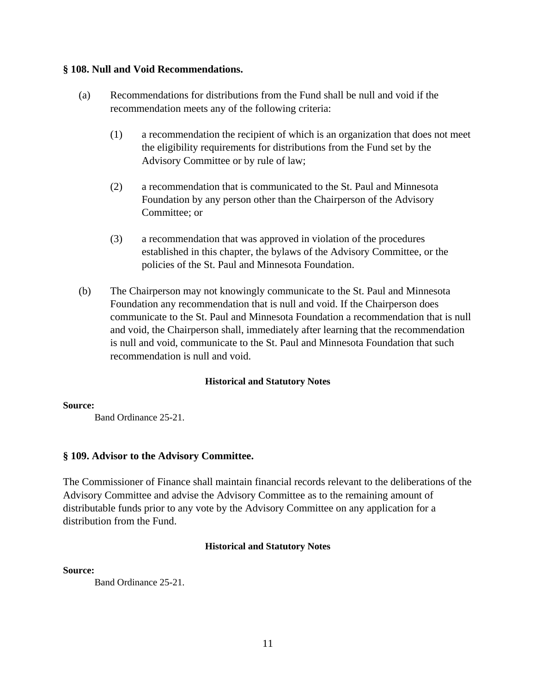# **§ 108. Null and Void Recommendations.**

- (a) Recommendations for distributions from the Fund shall be null and void if the recommendation meets any of the following criteria:
	- (1) a recommendation the recipient of which is an organization that does not meet the eligibility requirements for distributions from the Fund set by the Advisory Committee or by rule of law;
	- (2) a recommendation that is communicated to the St. Paul and Minnesota Foundation by any person other than the Chairperson of the Advisory Committee; or
	- (3) a recommendation that was approved in violation of the procedures established in this chapter, the bylaws of the Advisory Committee, or the policies of the St. Paul and Minnesota Foundation.
- (b) The Chairperson may not knowingly communicate to the St. Paul and Minnesota Foundation any recommendation that is null and void. If the Chairperson does communicate to the St. Paul and Minnesota Foundation a recommendation that is null and void, the Chairperson shall, immediately after learning that the recommendation is null and void, communicate to the St. Paul and Minnesota Foundation that such recommendation is null and void.

# **Historical and Statutory Notes**

#### **Source:**

Band Ordinance 25-21.

# **§ 109. Advisor to the Advisory Committee.**

The Commissioner of Finance shall maintain financial records relevant to the deliberations of the Advisory Committee and advise the Advisory Committee as to the remaining amount of distributable funds prior to any vote by the Advisory Committee on any application for a distribution from the Fund.

#### **Historical and Statutory Notes**

#### **Source:**

Band Ordinance 25-21.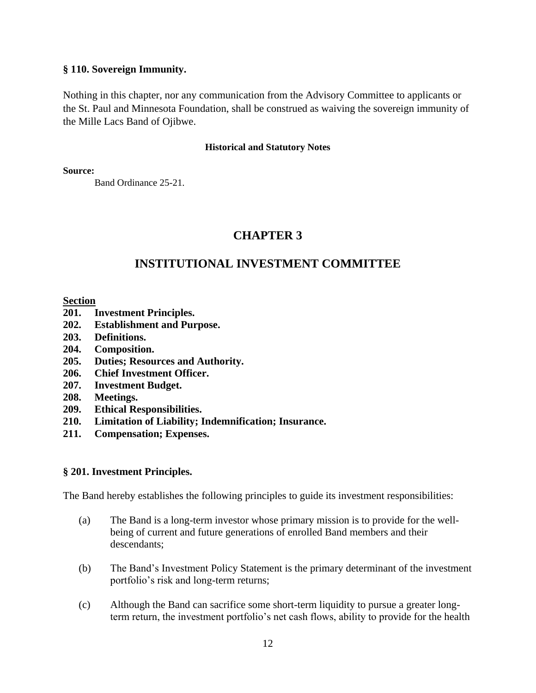# **§ 110. Sovereign Immunity.**

Nothing in this chapter, nor any communication from the Advisory Committee to applicants or the St. Paul and Minnesota Foundation, shall be construed as waiving the sovereign immunity of the Mille Lacs Band of Ojibwe.

#### **Historical and Statutory Notes**

#### **Source:**

Band Ordinance 25-21.

# **CHAPTER 3**

# **INSTITUTIONAL INVESTMENT COMMITTEE**

# **Section**

- **201. Investment Principles.**
- **202. Establishment and Purpose.**
- **203. Definitions.**
- **204. Composition.**
- **205. Duties; Resources and Authority.**
- **206. Chief Investment Officer.**
- **207. Investment Budget.**
- **208. Meetings.**
- **209. Ethical Responsibilities.**
- **210. Limitation of Liability; Indemnification; Insurance.**
- **211. Compensation; Expenses.**

# **§ 201. Investment Principles.**

The Band hereby establishes the following principles to guide its investment responsibilities:

- (a) The Band is a long-term investor whose primary mission is to provide for the wellbeing of current and future generations of enrolled Band members and their descendants;
- (b) The Band's Investment Policy Statement is the primary determinant of the investment portfolio's risk and long-term returns;
- (c) Although the Band can sacrifice some short-term liquidity to pursue a greater longterm return, the investment portfolio's net cash flows, ability to provide for the health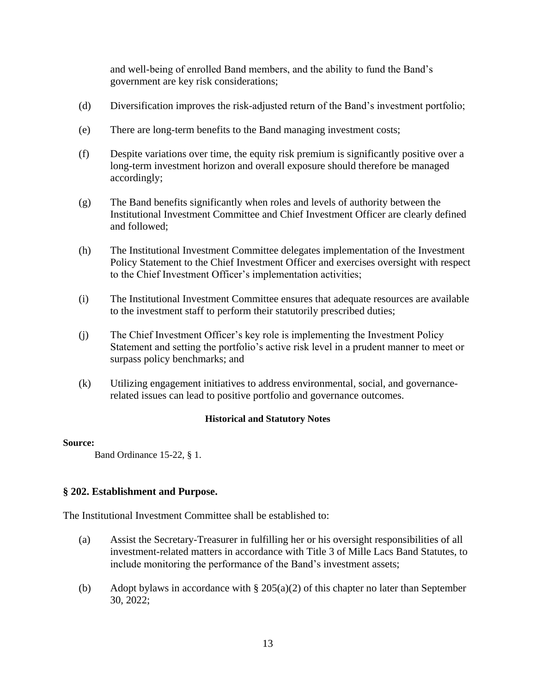and well-being of enrolled Band members, and the ability to fund the Band's government are key risk considerations;

- (d) Diversification improves the risk-adjusted return of the Band's investment portfolio;
- (e) There are long-term benefits to the Band managing investment costs;
- (f) Despite variations over time, the equity risk premium is significantly positive over a long-term investment horizon and overall exposure should therefore be managed accordingly;
- (g) The Band benefits significantly when roles and levels of authority between the Institutional Investment Committee and Chief Investment Officer are clearly defined and followed;
- (h) The Institutional Investment Committee delegates implementation of the Investment Policy Statement to the Chief Investment Officer and exercises oversight with respect to the Chief Investment Officer's implementation activities;
- (i) The Institutional Investment Committee ensures that adequate resources are available to the investment staff to perform their statutorily prescribed duties;
- (j) The Chief Investment Officer's key role is implementing the Investment Policy Statement and setting the portfolio's active risk level in a prudent manner to meet or surpass policy benchmarks; and
- (k) Utilizing engagement initiatives to address environmental, social, and governancerelated issues can lead to positive portfolio and governance outcomes.

# **Historical and Statutory Notes**

#### **Source:**

Band Ordinance 15-22, § 1.

# **§ 202. Establishment and Purpose.**

The Institutional Investment Committee shall be established to:

- (a) Assist the Secretary-Treasurer in fulfilling her or his oversight responsibilities of all investment-related matters in accordance with Title 3 of Mille Lacs Band Statutes, to include monitoring the performance of the Band's investment assets;
- (b) Adopt bylaws in accordance with  $\S 205(a)(2)$  of this chapter no later than September 30, 2022;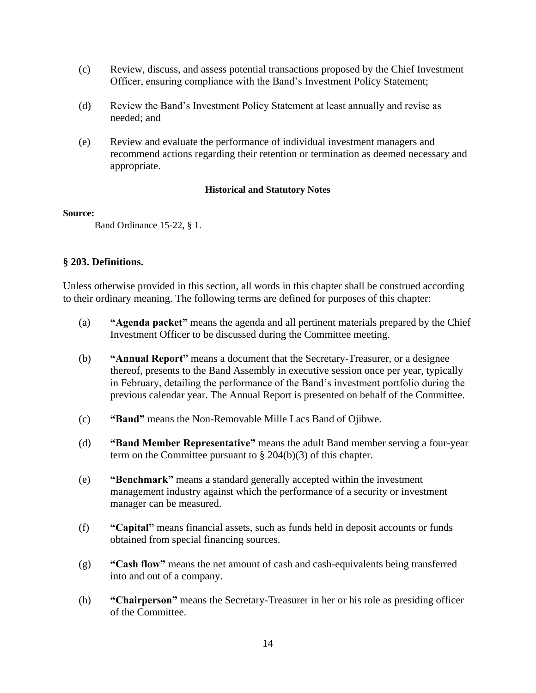- (c) Review, discuss, and assess potential transactions proposed by the Chief Investment Officer, ensuring compliance with the Band's Investment Policy Statement;
- (d) Review the Band's Investment Policy Statement at least annually and revise as needed; and
- (e) Review and evaluate the performance of individual investment managers and recommend actions regarding their retention or termination as deemed necessary and appropriate.

#### **Source:**

Band Ordinance 15-22, § 1.

# **§ 203. Definitions.**

Unless otherwise provided in this section, all words in this chapter shall be construed according to their ordinary meaning. The following terms are defined for purposes of this chapter:

- (a) **"Agenda packet"** means the agenda and all pertinent materials prepared by the Chief Investment Officer to be discussed during the Committee meeting.
- (b) **"Annual Report"** means a document that the Secretary-Treasurer, or a designee thereof, presents to the Band Assembly in executive session once per year, typically in February, detailing the performance of the Band's investment portfolio during the previous calendar year. The Annual Report is presented on behalf of the Committee.
- (c) **"Band"** means the Non-Removable Mille Lacs Band of Ojibwe.
- (d) **"Band Member Representative"** means the adult Band member serving a four-year term on the Committee pursuant to  $\S 204(b)(3)$  of this chapter.
- (e) **"Benchmark"** means a standard generally accepted within the investment management industry against which the performance of a security or investment manager can be measured.
- (f) **"Capital"** means financial assets, such as funds held in deposit accounts or funds obtained from special financing sources.
- (g) **"Cash flow"** means the net amount of cash and cash-equivalents being transferred into and out of a company.
- (h) **"Chairperson"** means the Secretary-Treasurer in her or his role as presiding officer of the Committee.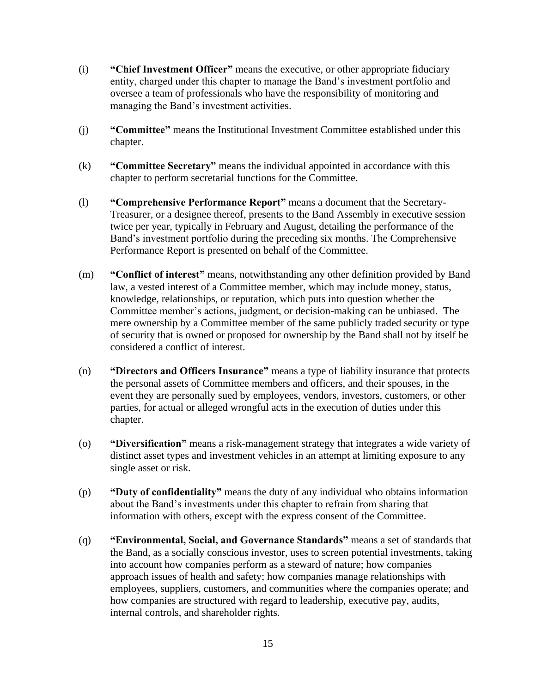- (i) **"Chief Investment Officer"** means the executive, or other appropriate fiduciary entity, charged under this chapter to manage the Band's investment portfolio and oversee a team of professionals who have the responsibility of monitoring and managing the Band's investment activities.
- (j) **"Committee"** means the Institutional Investment Committee established under this chapter.
- (k) **"Committee Secretary"** means the individual appointed in accordance with this chapter to perform secretarial functions for the Committee.
- (l) **"Comprehensive Performance Report"** means a document that the Secretary-Treasurer, or a designee thereof, presents to the Band Assembly in executive session twice per year, typically in February and August, detailing the performance of the Band's investment portfolio during the preceding six months. The Comprehensive Performance Report is presented on behalf of the Committee.
- (m) **"Conflict of interest"** means, notwithstanding any other definition provided by Band law, a vested interest of a Committee member, which may include money, status, knowledge, relationships, or reputation, which puts into question whether the Committee member's actions, judgment, or decision-making can be unbiased. The mere ownership by a Committee member of the same publicly traded security or type of security that is owned or proposed for ownership by the Band shall not by itself be considered a conflict of interest.
- (n) **"Directors and Officers Insurance"** means a type of liability insurance that protects the personal assets of Committee members and officers, and their spouses, in the event they are personally sued by employees, vendors, investors, customers, or other parties, for actual or alleged wrongful acts in the execution of duties under this chapter.
- (o) **"Diversification"** means a risk-management strategy that integrates a wide variety of distinct asset types and investment vehicles in an attempt at limiting exposure to any single asset or risk.
- (p) **"Duty of confidentiality"** means the duty of any individual who obtains information about the Band's investments under this chapter to refrain from sharing that information with others, except with the express consent of the Committee.
- (q) **"Environmental, Social, and Governance Standards"** means a set of standards that the Band, as a socially conscious investor, uses to screen potential investments, taking into account how companies perform as a steward of nature; how companies approach issues of health and safety; how companies manage relationships with employees, suppliers, customers, and communities where the companies operate; and how companies are structured with regard to leadership, executive pay, audits, internal controls, and shareholder rights.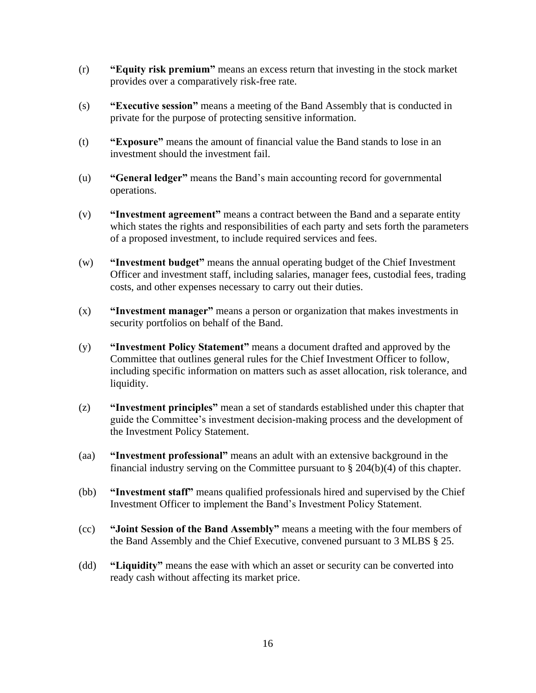- (r) **"Equity risk premium"** means an excess return that investing in the stock market provides over a comparatively risk-free rate.
- (s) **"Executive session"** means a meeting of the Band Assembly that is conducted in private for the purpose of protecting sensitive information.
- (t) **"Exposure"** means the amount of financial value the Band stands to lose in an investment should the investment fail.
- (u) **"General ledger"** means the Band's main accounting record for governmental operations.
- (v) **"Investment agreement"** means a contract between the Band and a separate entity which states the rights and responsibilities of each party and sets forth the parameters of a proposed investment, to include required services and fees.
- (w) **"Investment budget"** means the annual operating budget of the Chief Investment Officer and investment staff, including salaries, manager fees, custodial fees, trading costs, and other expenses necessary to carry out their duties.
- (x) **"Investment manager"** means a person or organization that makes investments in security portfolios on behalf of the Band.
- (y) **"Investment Policy Statement"** means a document drafted and approved by the Committee that outlines general rules for the Chief Investment Officer to follow, including specific information on matters such as asset allocation, risk tolerance, and liquidity.
- (z) **"Investment principles"** mean a set of standards established under this chapter that guide the Committee's investment decision-making process and the development of the Investment Policy Statement.
- (aa) **"Investment professional"** means an adult with an extensive background in the financial industry serving on the Committee pursuant to  $\S 204(b)(4)$  of this chapter.
- (bb) **"Investment staff"** means qualified professionals hired and supervised by the Chief Investment Officer to implement the Band's Investment Policy Statement.
- (cc) **"Joint Session of the Band Assembly"** means a meeting with the four members of the Band Assembly and the Chief Executive, convened pursuant to 3 MLBS § 25.
- (dd) **"Liquidity"** means the ease with which an asset or security can be converted into ready cash without affecting its market price.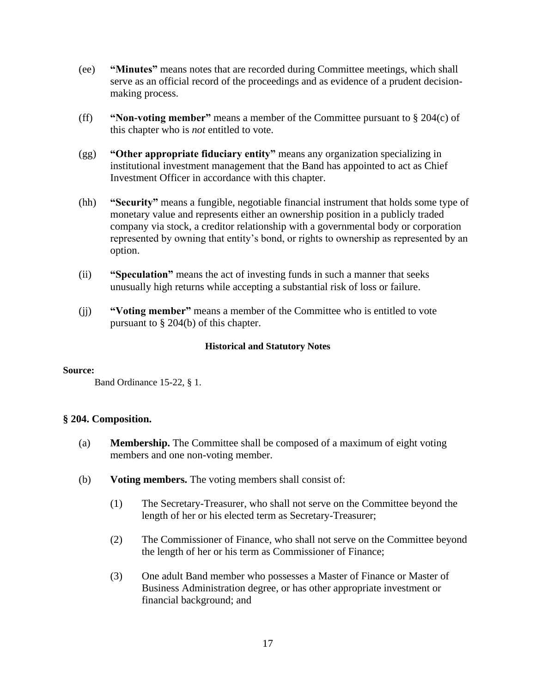- (ee) **"Minutes"** means notes that are recorded during Committee meetings, which shall serve as an official record of the proceedings and as evidence of a prudent decisionmaking process.
- (ff) **"Non-voting member"** means a member of the Committee pursuant to § 204(c) of this chapter who is *not* entitled to vote.
- (gg) **"Other appropriate fiduciary entity"** means any organization specializing in institutional investment management that the Band has appointed to act as Chief Investment Officer in accordance with this chapter.
- (hh) **"Security"** means a fungible, negotiable financial instrument that holds some type of monetary value and represents either an ownership position in a publicly traded company via stock, a creditor relationship with a governmental body or corporation represented by owning that entity's bond, or rights to ownership as represented by an option.
- (ii) **"Speculation"** means the act of investing funds in such a manner that seeks unusually high returns while accepting a substantial risk of loss or failure.
- (jj) **"Voting member"** means a member of the Committee who is entitled to vote pursuant to § 204(b) of this chapter.

#### **Source:**

Band Ordinance 15-22, § 1.

# **§ 204. Composition.**

- (a) **Membership.** The Committee shall be composed of a maximum of eight voting members and one non-voting member.
- (b) **Voting members.** The voting members shall consist of:
	- (1) The Secretary-Treasurer, who shall not serve on the Committee beyond the length of her or his elected term as Secretary-Treasurer;
	- (2) The Commissioner of Finance, who shall not serve on the Committee beyond the length of her or his term as Commissioner of Finance;
	- (3) One adult Band member who possesses a Master of Finance or Master of Business Administration degree, or has other appropriate investment or financial background; and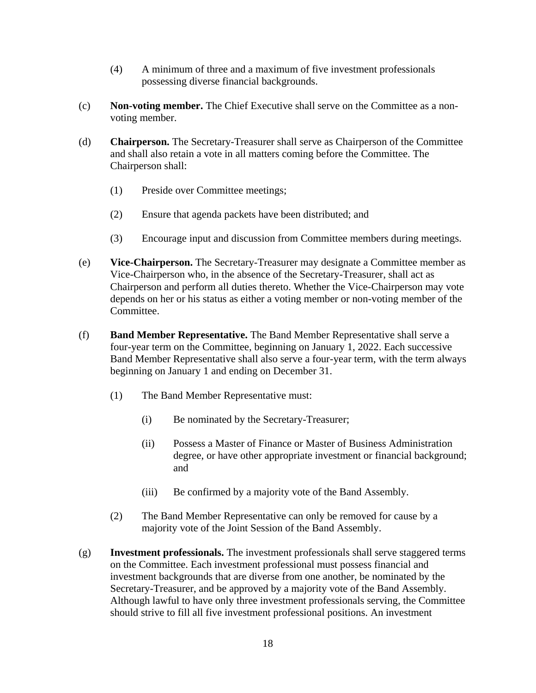- (4) A minimum of three and a maximum of five investment professionals possessing diverse financial backgrounds.
- (c) **Non-voting member.** The Chief Executive shall serve on the Committee as a nonvoting member.
- (d) **Chairperson.** The Secretary-Treasurer shall serve as Chairperson of the Committee and shall also retain a vote in all matters coming before the Committee. The Chairperson shall:
	- (1) Preside over Committee meetings;
	- (2) Ensure that agenda packets have been distributed; and
	- (3) Encourage input and discussion from Committee members during meetings.
- (e) **Vice-Chairperson.** The Secretary-Treasurer may designate a Committee member as Vice-Chairperson who, in the absence of the Secretary-Treasurer, shall act as Chairperson and perform all duties thereto. Whether the Vice-Chairperson may vote depends on her or his status as either a voting member or non-voting member of the Committee.
- (f) **Band Member Representative.** The Band Member Representative shall serve a four-year term on the Committee, beginning on January 1, 2022. Each successive Band Member Representative shall also serve a four-year term, with the term always beginning on January 1 and ending on December 31.
	- (1) The Band Member Representative must:
		- (i) Be nominated by the Secretary-Treasurer;
		- (ii) Possess a Master of Finance or Master of Business Administration degree, or have other appropriate investment or financial background; and
		- (iii) Be confirmed by a majority vote of the Band Assembly.
	- (2) The Band Member Representative can only be removed for cause by a majority vote of the Joint Session of the Band Assembly.
- (g) **Investment professionals.** The investment professionals shall serve staggered terms on the Committee. Each investment professional must possess financial and investment backgrounds that are diverse from one another, be nominated by the Secretary-Treasurer, and be approved by a majority vote of the Band Assembly. Although lawful to have only three investment professionals serving, the Committee should strive to fill all five investment professional positions. An investment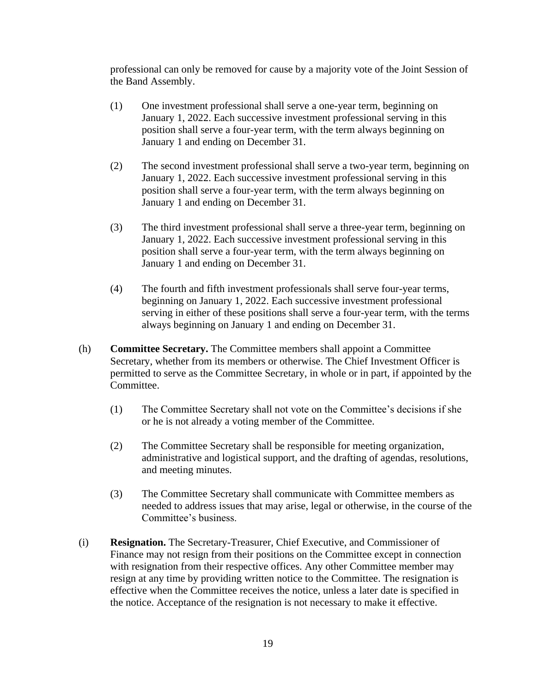professional can only be removed for cause by a majority vote of the Joint Session of the Band Assembly.

- (1) One investment professional shall serve a one-year term, beginning on January 1, 2022. Each successive investment professional serving in this position shall serve a four-year term, with the term always beginning on January 1 and ending on December 31.
- (2) The second investment professional shall serve a two-year term, beginning on January 1, 2022. Each successive investment professional serving in this position shall serve a four-year term, with the term always beginning on January 1 and ending on December 31.
- (3) The third investment professional shall serve a three-year term, beginning on January 1, 2022. Each successive investment professional serving in this position shall serve a four-year term, with the term always beginning on January 1 and ending on December 31.
- (4) The fourth and fifth investment professionals shall serve four-year terms, beginning on January 1, 2022. Each successive investment professional serving in either of these positions shall serve a four-year term, with the terms always beginning on January 1 and ending on December 31.
- (h) **Committee Secretary.** The Committee members shall appoint a Committee Secretary, whether from its members or otherwise. The Chief Investment Officer is permitted to serve as the Committee Secretary, in whole or in part, if appointed by the Committee.
	- (1) The Committee Secretary shall not vote on the Committee's decisions if she or he is not already a voting member of the Committee.
	- (2) The Committee Secretary shall be responsible for meeting organization, administrative and logistical support, and the drafting of agendas, resolutions, and meeting minutes.
	- (3) The Committee Secretary shall communicate with Committee members as needed to address issues that may arise, legal or otherwise, in the course of the Committee's business.
- (i) **Resignation.** The Secretary-Treasurer, Chief Executive, and Commissioner of Finance may not resign from their positions on the Committee except in connection with resignation from their respective offices. Any other Committee member may resign at any time by providing written notice to the Committee. The resignation is effective when the Committee receives the notice, unless a later date is specified in the notice. Acceptance of the resignation is not necessary to make it effective.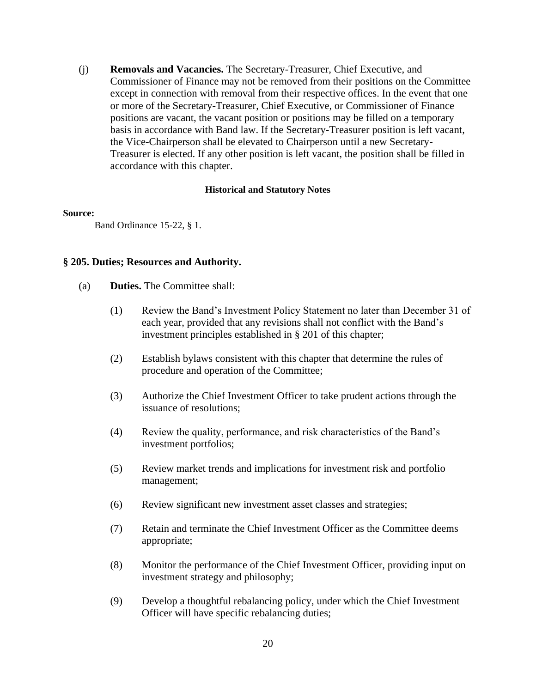(j) **Removals and Vacancies.** The Secretary-Treasurer, Chief Executive, and Commissioner of Finance may not be removed from their positions on the Committee except in connection with removal from their respective offices. In the event that one or more of the Secretary-Treasurer, Chief Executive, or Commissioner of Finance positions are vacant, the vacant position or positions may be filled on a temporary basis in accordance with Band law. If the Secretary-Treasurer position is left vacant, the Vice-Chairperson shall be elevated to Chairperson until a new Secretary-Treasurer is elected. If any other position is left vacant, the position shall be filled in accordance with this chapter.

#### **Historical and Statutory Notes**

#### **Source:**

Band Ordinance 15-22, § 1.

# **§ 205. Duties; Resources and Authority.**

- (a) **Duties.** The Committee shall:
	- (1) Review the Band's Investment Policy Statement no later than December 31 of each year, provided that any revisions shall not conflict with the Band's investment principles established in § 201 of this chapter;
	- (2) Establish bylaws consistent with this chapter that determine the rules of procedure and operation of the Committee;
	- (3) Authorize the Chief Investment Officer to take prudent actions through the issuance of resolutions;
	- (4) Review the quality, performance, and risk characteristics of the Band's investment portfolios;
	- (5) Review market trends and implications for investment risk and portfolio management;
	- (6) Review significant new investment asset classes and strategies;
	- (7) Retain and terminate the Chief Investment Officer as the Committee deems appropriate;
	- (8) Monitor the performance of the Chief Investment Officer, providing input on investment strategy and philosophy;
	- (9) Develop a thoughtful rebalancing policy, under which the Chief Investment Officer will have specific rebalancing duties;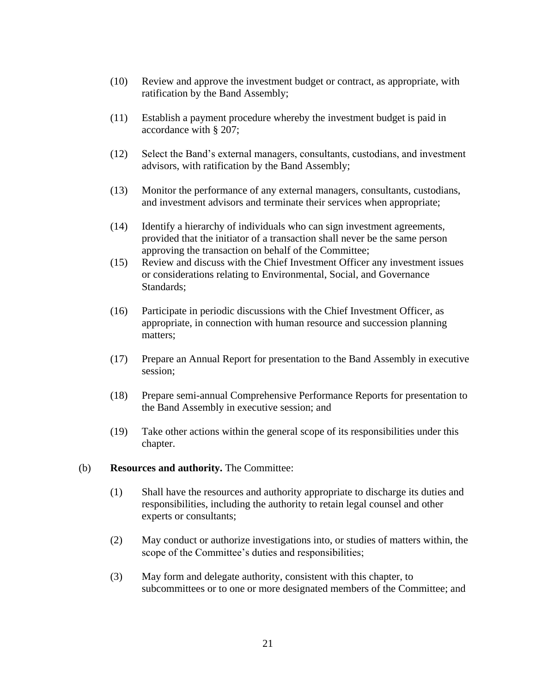- (10) Review and approve the investment budget or contract, as appropriate, with ratification by the Band Assembly;
- (11) Establish a payment procedure whereby the investment budget is paid in accordance with § 207;
- (12) Select the Band's external managers, consultants, custodians, and investment advisors, with ratification by the Band Assembly;
- (13) Monitor the performance of any external managers, consultants, custodians, and investment advisors and terminate their services when appropriate;
- (14) Identify a hierarchy of individuals who can sign investment agreements, provided that the initiator of a transaction shall never be the same person approving the transaction on behalf of the Committee;
- (15) Review and discuss with the Chief Investment Officer any investment issues or considerations relating to Environmental, Social, and Governance Standards;
- (16) Participate in periodic discussions with the Chief Investment Officer, as appropriate, in connection with human resource and succession planning matters;
- (17) Prepare an Annual Report for presentation to the Band Assembly in executive session;
- (18) Prepare semi-annual Comprehensive Performance Reports for presentation to the Band Assembly in executive session; and
- (19) Take other actions within the general scope of its responsibilities under this chapter.
- (b) **Resources and authority.** The Committee:
	- (1) Shall have the resources and authority appropriate to discharge its duties and responsibilities, including the authority to retain legal counsel and other experts or consultants;
	- (2) May conduct or authorize investigations into, or studies of matters within, the scope of the Committee's duties and responsibilities;
	- (3) May form and delegate authority, consistent with this chapter, to subcommittees or to one or more designated members of the Committee; and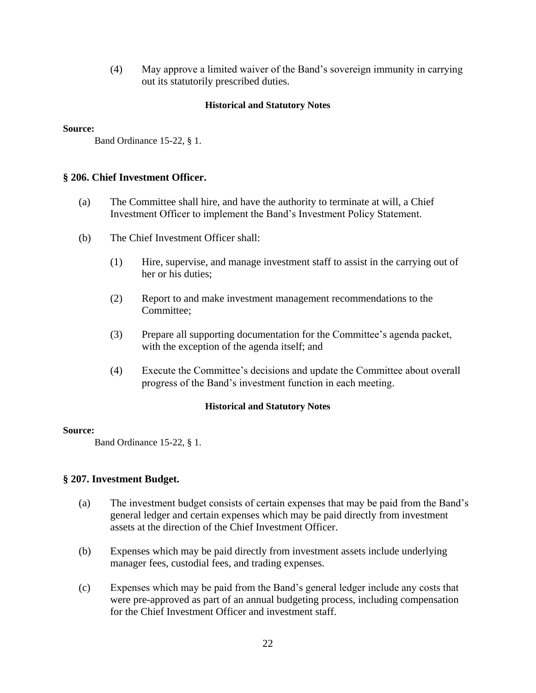(4) May approve a limited waiver of the Band's sovereign immunity in carrying out its statutorily prescribed duties.

# **Historical and Statutory Notes**

#### **Source:**

Band Ordinance 15-22, § 1.

# **§ 206. Chief Investment Officer.**

- (a) The Committee shall hire, and have the authority to terminate at will, a Chief Investment Officer to implement the Band's Investment Policy Statement.
- (b) The Chief Investment Officer shall:
	- (1) Hire, supervise, and manage investment staff to assist in the carrying out of her or his duties;
	- (2) Report to and make investment management recommendations to the Committee;
	- (3) Prepare all supporting documentation for the Committee's agenda packet, with the exception of the agenda itself; and
	- (4) Execute the Committee's decisions and update the Committee about overall progress of the Band's investment function in each meeting.

#### **Historical and Statutory Notes**

#### **Source:**

Band Ordinance 15-22, § 1.

# **§ 207. Investment Budget.**

- (a) The investment budget consists of certain expenses that may be paid from the Band's general ledger and certain expenses which may be paid directly from investment assets at the direction of the Chief Investment Officer.
- (b) Expenses which may be paid directly from investment assets include underlying manager fees, custodial fees, and trading expenses.
- (c) Expenses which may be paid from the Band's general ledger include any costs that were pre-approved as part of an annual budgeting process, including compensation for the Chief Investment Officer and investment staff.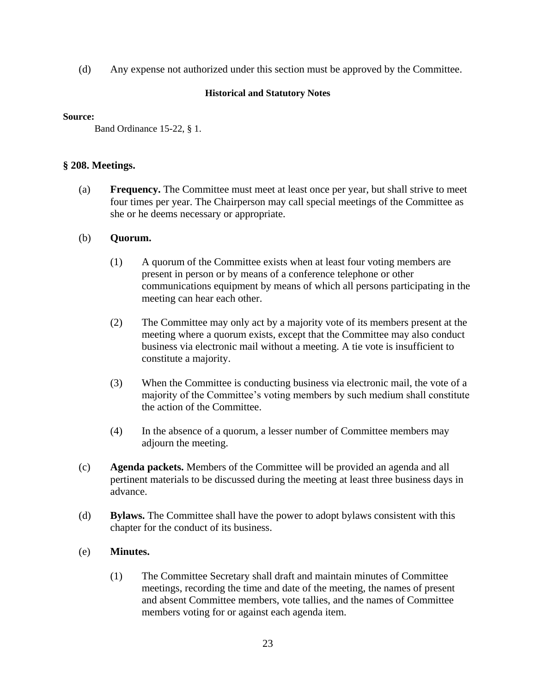(d) Any expense not authorized under this section must be approved by the Committee.

# **Historical and Statutory Notes**

#### **Source:**

Band Ordinance 15-22, § 1.

# **§ 208. Meetings.**

(a) **Frequency.** The Committee must meet at least once per year, but shall strive to meet four times per year. The Chairperson may call special meetings of the Committee as she or he deems necessary or appropriate.

# (b) **Quorum.**

- (1) A quorum of the Committee exists when at least four voting members are present in person or by means of a conference telephone or other communications equipment by means of which all persons participating in the meeting can hear each other.
- (2) The Committee may only act by a majority vote of its members present at the meeting where a quorum exists, except that the Committee may also conduct business via electronic mail without a meeting. A tie vote is insufficient to constitute a majority.
- (3) When the Committee is conducting business via electronic mail, the vote of a majority of the Committee's voting members by such medium shall constitute the action of the Committee.
- (4) In the absence of a quorum, a lesser number of Committee members may adjourn the meeting.
- (c) **Agenda packets.** Members of the Committee will be provided an agenda and all pertinent materials to be discussed during the meeting at least three business days in advance.
- (d) **Bylaws.** The Committee shall have the power to adopt bylaws consistent with this chapter for the conduct of its business.

# (e) **Minutes.**

(1) The Committee Secretary shall draft and maintain minutes of Committee meetings, recording the time and date of the meeting, the names of present and absent Committee members, vote tallies, and the names of Committee members voting for or against each agenda item.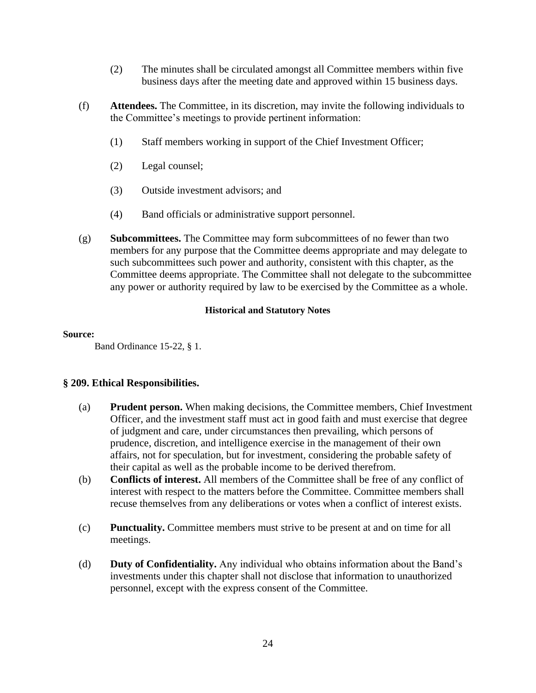- (2) The minutes shall be circulated amongst all Committee members within five business days after the meeting date and approved within 15 business days.
- (f) **Attendees.** The Committee, in its discretion, may invite the following individuals to the Committee's meetings to provide pertinent information:
	- (1) Staff members working in support of the Chief Investment Officer;
	- (2) Legal counsel;
	- (3) Outside investment advisors; and
	- (4) Band officials or administrative support personnel.
- (g) **Subcommittees.** The Committee may form subcommittees of no fewer than two members for any purpose that the Committee deems appropriate and may delegate to such subcommittees such power and authority, consistent with this chapter, as the Committee deems appropriate. The Committee shall not delegate to the subcommittee any power or authority required by law to be exercised by the Committee as a whole.

#### **Source:**

Band Ordinance 15-22, § 1.

# **§ 209. Ethical Responsibilities.**

- (a) **Prudent person.** When making decisions, the Committee members, Chief Investment Officer, and the investment staff must act in good faith and must exercise that degree of judgment and care, under circumstances then prevailing, which persons of prudence, discretion, and intelligence exercise in the management of their own affairs, not for speculation, but for investment, considering the probable safety of their capital as well as the probable income to be derived therefrom.
- (b) **Conflicts of interest.** All members of the Committee shall be free of any conflict of interest with respect to the matters before the Committee. Committee members shall recuse themselves from any deliberations or votes when a conflict of interest exists.
- (c) **Punctuality.** Committee members must strive to be present at and on time for all meetings.
- (d) **Duty of Confidentiality.** Any individual who obtains information about the Band's investments under this chapter shall not disclose that information to unauthorized personnel, except with the express consent of the Committee.